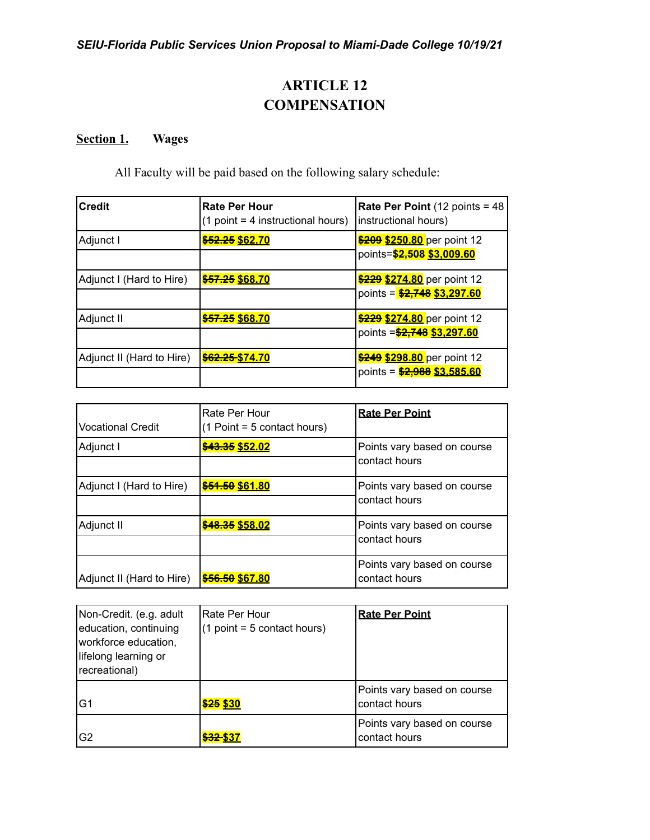# **ARTICLE 12 COMPENSATION**

## **Section 1. Wages**

All Faculty will be paid based on the following salary schedule:

| <b>Credit</b>             | <b>Rate Per Hour</b><br>$(1$ point = 4 instructional hours) | <b>Rate Per Point (12 points = 48)</b><br>instructional hours) |
|---------------------------|-------------------------------------------------------------|----------------------------------------------------------------|
| Adjunct I                 | \$52.25 \$62.70                                             | \$209 \$250.80 per point 12<br>points=\$2,508 \$3,009.60       |
| Adjunct I (Hard to Hire)  | \$57.25 \$68.70                                             | \$229 \$274.80 per point 12<br>points = \$2,748 \$3,297.60     |
| Adjunct II                | \$57.25 \$68.70                                             | \$229 \$274.80 per point 12<br>points = \$2,748 \$3,297.60     |
| Adjunct II (Hard to Hire) | \$62.25 \$74.70                                             | \$249 \$298.80 per point 12<br>points = \$2,988 \$3,585.60     |

| Vocational Credit         | Rate Per Hour<br>$(1$ Point = 5 contact hours) | <b>Rate Per Point</b>                        |  |
|---------------------------|------------------------------------------------|----------------------------------------------|--|
| Adjunct I                 | \$43.35 \$52.02                                | Points vary based on course<br>contact hours |  |
| Adjunct I (Hard to Hire)  | \$51.50 \$61.80                                | Points vary based on course<br>contact hours |  |
| Adjunct II                | \$48.35 \$58.02                                | Points vary based on course<br>contact hours |  |
| Adjunct II (Hard to Hire) | \$56.50 \$67.80                                | Points vary based on course<br>contact hours |  |

| Non-Credit. (e.g. adult<br>education, continuing<br>workforce education,<br>lifelong learning or<br>recreational) | Rate Per Hour<br>$(1 point = 5 contact hours)$ | <b>Rate Per Point</b>                        |
|-------------------------------------------------------------------------------------------------------------------|------------------------------------------------|----------------------------------------------|
| lG1                                                                                                               | \$25 \$30                                      | Points vary based on course<br>contact hours |
| lG <sub>2</sub>                                                                                                   | <del>\$32 </del> \$37                          | Points vary based on course<br>contact hours |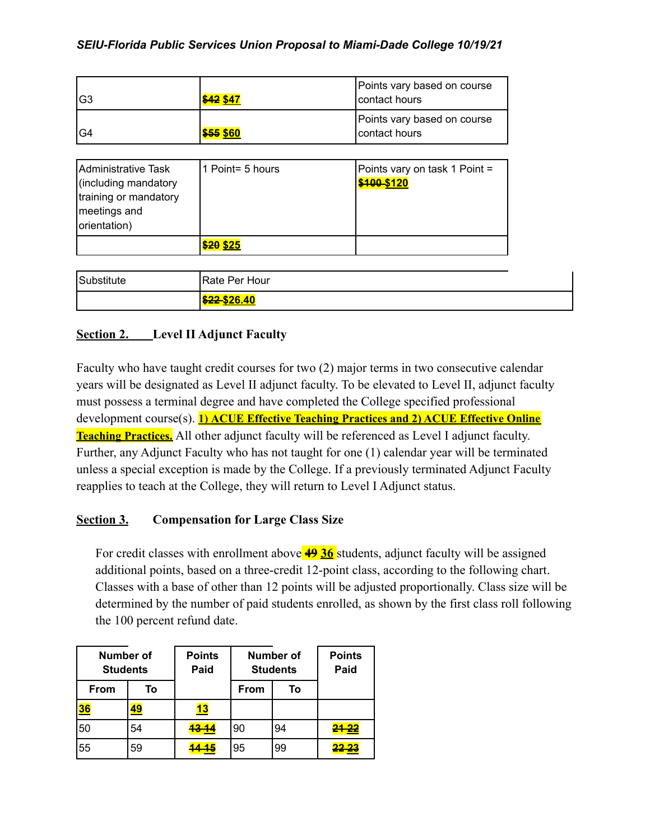| IG3 | \$42 \$47        | Points vary based on course<br>contact hours |
|-----|------------------|----------------------------------------------|
| IG4 | <b>\$55 \$60</b> | Points vary based on course<br>contact hours |

| Administrative Task<br>(including mandatory<br>training or mandatory<br>meetings and<br>orientation) | l 1 Point= 5 hours | Points vary on task 1 Point =<br>\$100-\$120 |
|------------------------------------------------------------------------------------------------------|--------------------|----------------------------------------------|
|                                                                                                      | \$20 \$25          |                                              |

| Substitute | Rate Per Hour                   |
|------------|---------------------------------|
|            | <u> <del>\$22</del>-\$26.40</u> |

## **Section 2. Level II Adjunct Faculty**

Faculty who have taught credit courses for two (2) major terms in two consecutive calendar years will be designated as Level II adjunct faculty. To be elevated to Level II, adjunct faculty must possess a terminal degree and have completed the College specified professional development course(s). **1) ACUE Effective Teaching Practices and 2) ACUE Effective Online Teaching Practices.** All other adjunct faculty will be referenced as Level I adjunct faculty. Further, any Adjunct Faculty who has not taught for one (1) calendar year will be terminated unless a special exception is made by the College. If a previously terminated Adjunct Faculty reapplies to teach at the College, they will return to Level I Adjunct status.

## **Section 3. Compensation for Large Class Size**

For credit classes with enrollment above **49 36** students, adjunct faculty will be assigned additional points, based on a three-credit 12-point class, according to the following chart. Classes with a base of other than 12 points will be adjusted proportionally. Class size will be determined by the number of paid students enrolled, as shown by the first class roll following the 100 percent refund date.

| <b>Number of</b><br><b>Students</b> |    | <b>Points</b><br>Paid | <b>Number of</b><br><b>Students</b> |    | <b>Points</b><br>Paid |
|-------------------------------------|----|-----------------------|-------------------------------------|----|-----------------------|
| <b>From</b>                         | To |                       | From                                | To |                       |
| 36                                  |    | <u> 13</u>            |                                     |    |                       |
| 50                                  | 54 | <del>13 14</del>      | 90                                  | 94 | 21.22                 |
| 55                                  | 59 |                       | 95                                  | 99 |                       |